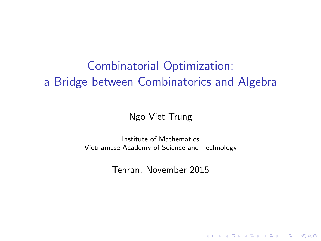# Combinatorial Optimization: a Bridge between Combinatorics and Algebra

#### Ngo Viet Trung

Institute of Mathematics Vietnamese Academy of Science and Technology

Tehran, November 2015

**KORKA SERKER ORA**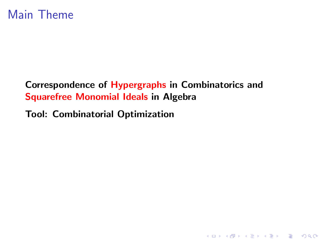### Main Theme

#### Correspondence of Hypergraphs in Combinatorics and Squarefree Monomial Ideals in Algebra

K ロ K K (P) K (E) K (E) X (E) X (P) K (P)

#### Tool: Combinatorial Optimization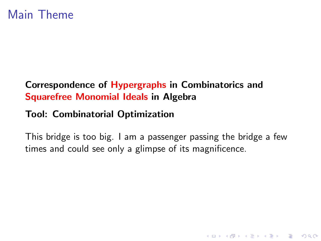#### Correspondence of Hypergraphs in Combinatorics and Squarefree Monomial Ideals in Algebra

#### Tool: Combinatorial Optimization

This bridge is too big. I am a passenger passing the bridge a few times and could see only a glimpse of its magnificence.

**K ロ ▶ K @ ▶ K 할 X X 할 X → 할 X → 9 Q Q ^**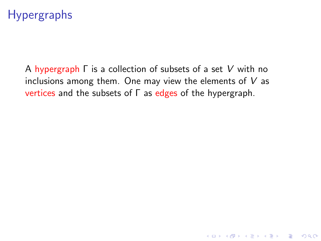# Hypergraphs

A hypergraph Γ is a collection of subsets of a set V with no inclusions among them. One may view the elements of  $V$  as vertices and the subsets of Γ as edges of the hypergraph.

K ロ ▶ K @ ▶ K 할 > K 할 > 1 할 > 1 이익어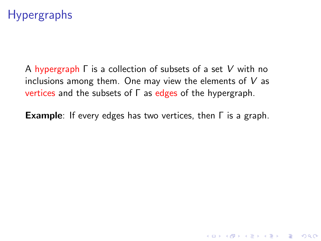# Hypergraphs

A hypergraph Γ is a collection of subsets of a set V with no inclusions among them. One may view the elements of  $V$  as vertices and the subsets of  $\Gamma$  as edges of the hypergraph.

Example: If every edges has two vertices, then Γ is a graph.

4 D > 4 P + 4 B + 4 B + B + 9 Q O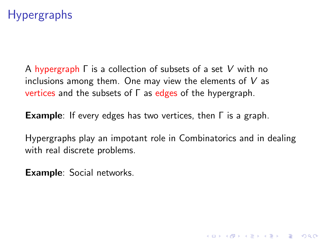# Hypergraphs

A hypergraph Γ is a collection of subsets of a set V with no inclusions among them. One may view the elements of  $V$  as vertices and the subsets of  $\Gamma$  as edges of the hypergraph.

Example: If every edges has two vertices, then Γ is a graph.

Hypergraphs play an impotant role in Combinatorics and in dealing with real discrete problems.

4 D > 4 P + 4 B + 4 B + B + 9 Q O

Example: Social networks.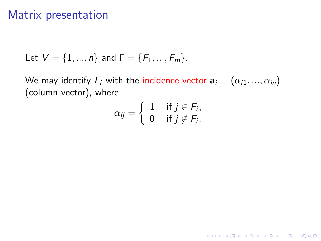### Matrix presentation

Let 
$$
V = \{1, ..., n\}
$$
 and  $\Gamma = \{F_1, ..., F_m\}$ .

We may identify  $F_i$  with the incidence vector  $\mathbf{a}_i = (\alpha_{i1}, ..., \alpha_{in})$ (column vector), where

$$
\alpha_{ij} = \left\{ \begin{array}{ll} 1 & \text{if } j \in F_i, \\ 0 & \text{if } j \notin F_i. \end{array} \right.
$$

KO KKOK KEK KEK LE I KORO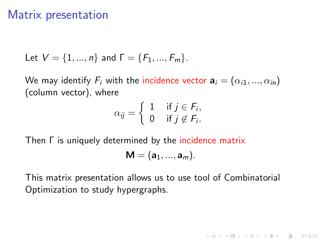### Matrix presentation

Let 
$$
V = \{1, ..., n\}
$$
 and  $\Gamma = \{F_1, ..., F_m\}$ .

We may identify  $F_i$  with the incidence vector  $\mathbf{a}_i = (\alpha_{i1}, ..., \alpha_{in})$ (column vector), where

$$
\alpha_{ij} = \left\{ \begin{array}{ll} 1 & \text{if } j \in F_i, \\ 0 & \text{if } j \notin F_i. \end{array} \right.
$$

Then Γ is uniquely determined by the incidence matrix

$$
\textbf{M}=(a_1,...,a_m).
$$

K ロ ▶ K @ ▶ K 할 > K 할 > 1 할 > 1 이익어

This matrix presentation allows us to use tool of Combinatorial Optimization to study hypergraphs.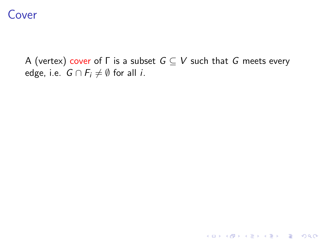A (vertex) cover of  $\Gamma$  is a subset  $G \subseteq V$  such that G meets every edge, i.e.  $G \cap F_i \neq \emptyset$  for all *i*.

K ロ ▶ K @ ▶ K 할 X X 할 X | 할 X 1 9 Q Q ^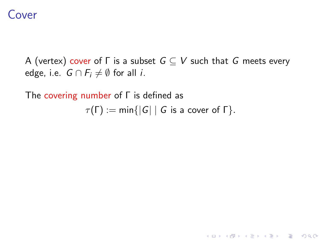A (vertex) cover of  $\Gamma$  is a subset  $G \subseteq V$  such that G meets every edge, i.e.  $G \cap F_i \neq \emptyset$  for all *i*.

The covering number of Γ is defined as

 $\tau(\Gamma) := \min\{|G| \mid G \text{ is a cover of } \Gamma\}.$ 

K ロ ▶ K @ ▶ K 할 > K 할 > 1 할 > 1 이익어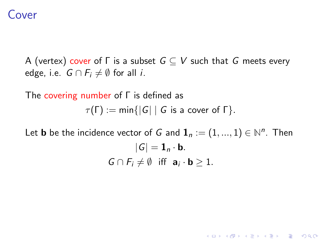A (vertex) cover of  $\Gamma$  is a subset  $G \subseteq V$  such that G meets every edge, i.e.  $G \cap F_i \neq \emptyset$  for all *i*.

The covering number of Γ is defined as

 $\tau(\Gamma) := \min\{|G| \mid G$  is a cover of  $\Gamma\}.$ 

Let  $\mathbf b$  be the incidence vector of  $G$  and  $\mathbf 1_n:=(1,...,1)\in\mathbb N^n.$  Then  $|G| = \mathbf{1}_n \cdot \mathbf{b}.$  $G \cap F_i \neq \emptyset$  iff  $\mathbf{a}_i \cdot \mathbf{b} \geq 1$ .

**KORKAR KERKER EL VOLO**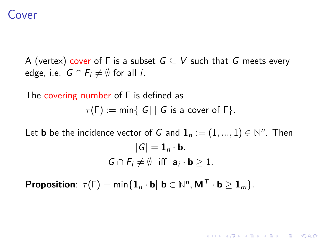A (vertex) cover of  $\Gamma$  is a subset  $G \subseteq V$  such that G meets every edge, i.e.  $G \cap F_i \neq \emptyset$  for all *i*.

The covering number of Γ is defined as  $\tau(\Gamma) := \min\{|G| \mid G \text{ is a cover of } \Gamma\}.$ 

Let  $\mathbf b$  be the incidence vector of  $G$  and  $\mathbf 1_n:=(1,...,1)\in\mathbb N^n.$  Then  $|G| = \mathbf{1}_n \cdot \mathbf{b}$ .  $G \cap F_i \neq \emptyset$  iff  $\mathbf{a}_i \cdot \mathbf{b} \geq 1$ .

**KORKAR KERKER EL VOLO** 

**Proposition**:  $\tau(\Gamma) = \min\{\mathbf{1}_n \cdot \mathbf{b} | \mathbf{b} \in \mathbb{N}^n, \mathbf{M}^T \cdot \mathbf{b} \geq \mathbf{1}_m\}.$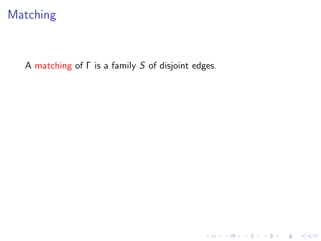

A matching of Γ is a family S of disjoint edges.

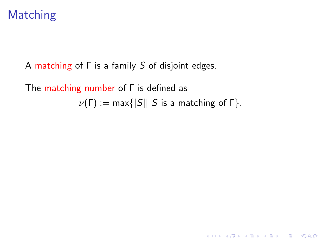# Matching

A matching of Γ is a family S of disjoint edges.

The matching number of Γ is defined as  $\nu(\Gamma) := \max\{|S|| S \text{ is a matching of } \Gamma\}.$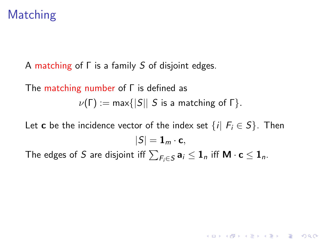# Matching

A matching of Γ is a family S of disjoint edges.

## The matching number of Γ is defined as  $\nu(\Gamma) := \max\{|S|| S \text{ is a matching of } \Gamma\}.$

Let **c** be the incidence vector of the index set  $\{i | F_i \in S\}$ . Then  $|S| = \mathbf{1}_m \cdot \mathbf{c},$ 

**KORKAR KERKER EL VOLO** 

The edges of  $S$  are disjoint iff  $\sum_{F_i \in S} \mathbf{a}_i \leq \mathbf{1}_n$  iff  $\mathsf{M} \cdot \mathbf{c} \leq \mathbf{1}_n$ .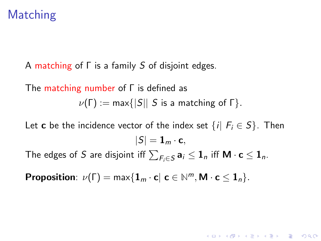# Matching

A matching of Γ is a family S of disjoint edges.

The matching number of Γ is defined as  $\nu(\Gamma) := \max\{|S|| S \text{ is a matching of } \Gamma\}.$ 

Let **c** be the incidence vector of the index set  $\{i | F_i \in S\}$ . Then  $|S| = \mathbf{1}_m \cdot \mathbf{c},$ 

**KORKAR KERKER EL VOLO** 

The edges of  $S$  are disjoint iff  $\sum_{F_i \in S} \mathbf{a}_i \leq \mathbf{1}_n$  iff  $\mathsf{M} \cdot \mathbf{c} \leq \mathbf{1}_n$ .

**Proposition**:  $\nu(\Gamma) = \max\{1_m \cdot \mathbf{c} | \mathbf{c} \in \mathbb{N}^m, \mathbf{M} \cdot \mathbf{c} \leq \mathbf{1}_n\}.$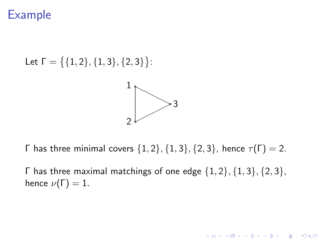Let 
$$
\Gamma = \{\{1, 2\}, \{1, 3\}, \{2, 3\}\}:
$$

Γ has three minimal covers  $\{1, 2\}, \{1, 3\}, \{2, 3\}$ , hence  $τ(Γ) = 2$ .

Γ has three maximal matchings of one edge  $\{1, 2\}, \{1, 3\}, \{2, 3\}$ , hence  $\nu(\Gamma) = 1$ .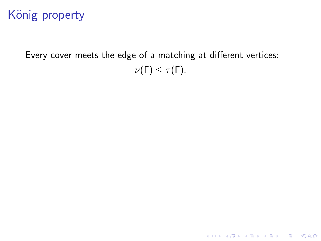# König property

Every cover meets the edge of a matching at different vertices:  $\nu(\Gamma) \leq \tau(\Gamma)$ .

KO KKOK KEK KEK LE I KORO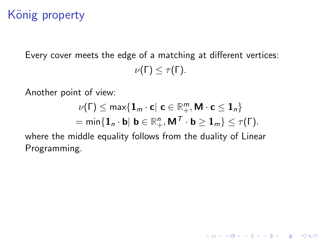# König property

Every cover meets the edge of a matching at different vertices:  $\nu(\Gamma) \leq \tau(\Gamma)$ .

Another point of view:

$$
\nu(\Gamma) \leq \max\{\mathbf{1}_m \cdot \mathbf{c} | \mathbf{c} \in \mathbb{R}_+^m, \mathbf{M} \cdot \mathbf{c} \leq \mathbf{1}_n\} = \min\{\mathbf{1}_n \cdot \mathbf{b} | \mathbf{b} \in \mathbb{R}_+^n, \mathbf{M}^T \cdot \mathbf{b} \geq \mathbf{1}_m\} \leq \tau(\Gamma).
$$

K ロ ▶ K @ ▶ K 할 > K 할 > 1 할 > 1 이익어

where the middle equality follows from the duality of Linear Programming.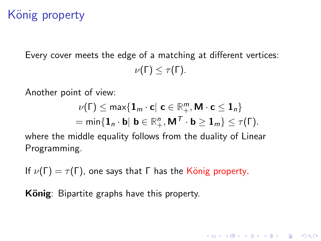# König property

Every cover meets the edge of a matching at different vertices:  $\nu(\Gamma) \leq \tau(\Gamma)$ .

Another point of view:

$$
\nu(\Gamma) \leq \max\{\mathbf{1}_m \cdot \mathbf{c} | \mathbf{c} \in \mathbb{R}_+^m, \mathbf{M} \cdot \mathbf{c} \leq \mathbf{1}_n\} = \min\{\mathbf{1}_n \cdot \mathbf{b} | \mathbf{b} \in \mathbb{R}_+^n, \mathbf{M}^T \cdot \mathbf{b} \geq \mathbf{1}_m\} \leq \tau(\Gamma).
$$

**K ロ ▶ K @ ▶ K 할 X X 할 X → 할 X → 9 Q Q ^** 

where the middle equality follows from the duality of Linear Programming.

If  $\nu(\Gamma) = \tau(\Gamma)$ , one says that  $\Gamma$  has the König property.

König: Bipartite graphs have this property.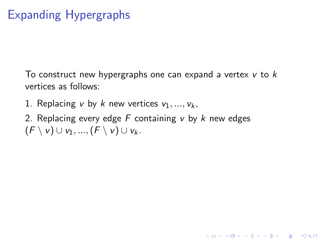# Expanding Hypergraphs

To construct new hypergraphs one can expand a vertex  $v$  to  $k$ vertices as follows:

**KORKA SERKER ORA** 

- 1. Replacing v by k new vertices  $v_1, ..., v_k$ ,
- 2. Replacing every edge  $F$  containing  $v$  by  $k$  new edges  $(F \setminus v) \cup v_1, ..., (F \setminus v) \cup v_k$ .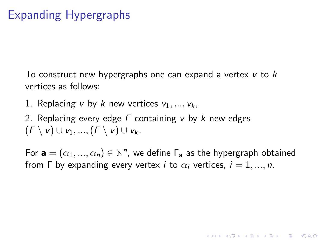# Expanding Hypergraphs

To construct new hypergraphs one can expand a vertex  $v$  to  $k$ vertices as follows:

1. Replacing v by k new vertices  $v_1, ..., v_k$ 

2. Replacing every edge  $F$  containing  $v$  by  $k$  new edges  $(F \setminus v) \cup v_1, ..., (F \setminus v) \cup v_k$ .

For  $\mathbf{a} = (\alpha_1, ..., \alpha_n) \in \mathbb{N}^n$ , we define  $\mathsf{\Gamma}_{\mathbf{a}}$  as the hypergraph obtained from  $\Gamma$  by expanding every vertex *i* to  $\alpha_i$  vertices,  $i = 1, ..., n$ .

**KORKA SERKER ORA**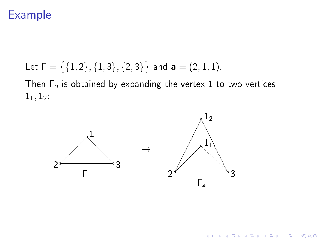Let 
$$
\Gamma = \{ \{1, 2\}, \{1, 3\}, \{2, 3\} \}
$$
 and  $\mathbf{a} = (2, 1, 1)$ .

Then  $\Gamma_a$  is obtained by expanding the vertex 1 to two vertices  $1_1, 1_2$ :



K ロ X イロ X K ミ X K ミ X ミ X Y Q Q Q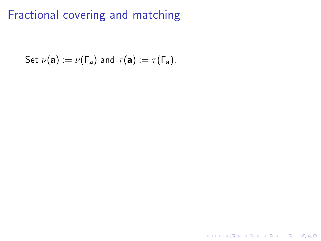Set 
$$
\nu(\mathbf{a}) := \nu(\Gamma_{\mathbf{a}})
$$
 and  $\tau(\mathbf{a}) := \tau(\Gamma_{\mathbf{a}})$ .

K ロ X K 메 X K B X X B X X D X O Q Q O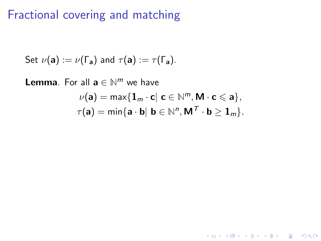Set 
$$
\nu(\mathbf{a}) := \nu(\Gamma_{\mathbf{a}})
$$
 and  $\tau(\mathbf{a}) := \tau(\Gamma_{\mathbf{a}})$ .

**Lemma**. For all  $a \in \mathbb{N}^m$  we have  $\nu(\mathbf{a}) = \max\{\mathbf{1}_m \cdot \mathbf{c} | \mathbf{c} \in \mathbb{N}^m, \mathbf{M} \cdot \mathbf{c} \leqslant \mathbf{a}\},\$  $\tau(\mathbf{a}) = \min\{\mathbf{a} \cdot \mathbf{b} | \mathbf{b} \in \mathbb{N}^n, \mathsf{M}^{\mathcal{T}} \cdot \mathbf{b} \geq \mathbf{1}_m\}.$ 

**K ロ ▶ K @ ▶ K 할 X X 할 X → 할 X → 9 Q Q ^**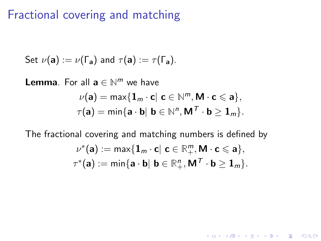Set 
$$
\nu(\mathbf{a}) := \nu(\Gamma_{\mathbf{a}})
$$
 and  $\tau(\mathbf{a}) := \tau(\Gamma_{\mathbf{a}})$ .

**Lemma**. For all  $a \in \mathbb{N}^m$  we have  $\nu(\mathbf{a}) = \max\{\mathbf{1}_m \cdot \mathbf{c} | \mathbf{c} \in \mathbb{N}^m, \mathbf{M} \cdot \mathbf{c} \leqslant \mathbf{a}\},\$  $\tau(\mathbf{a}) = \min\{\mathbf{a} \cdot \mathbf{b} | \mathbf{b} \in \mathbb{N}^n, \mathsf{M}^{\mathcal{T}} \cdot \mathbf{b} \geq \mathbf{1}_m\}.$ 

The fractional covering and matching numbers is defined by

$$
\nu^*(\mathbf{a}):=\max\{\mathbf{1}_m\cdot\mathbf{c}|\ \mathbf{c}\in\mathbb{R}_+^m, \mathbf{M}\cdot\mathbf{c}\leqslant\mathbf{a}\},\\ \tau^*(\mathbf{a}):=\min\{\mathbf{a}\cdot\mathbf{b}|\ \mathbf{b}\in\mathbb{R}_+^n, \mathbf{M}^T\cdot\mathbf{b}\geq\mathbf{1}_m\}.
$$

**K ロ ▶ K @ ▶ K 할 X X 할 X → 할 X → 9 Q Q ^**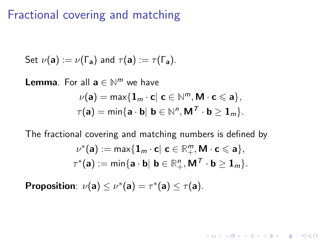Set 
$$
\nu(\mathbf{a}) := \nu(\Gamma_{\mathbf{a}})
$$
 and  $\tau(\mathbf{a}) := \tau(\Gamma_{\mathbf{a}})$ .

**Lemma**. For all  $a \in \mathbb{N}^m$  we have  $\nu(\mathbf{a}) = \max\{\mathbf{1}_m \cdot \mathbf{c} | \mathbf{c} \in \mathbb{N}^m, \mathbf{M} \cdot \mathbf{c} \leqslant \mathbf{a}\},\$  $\tau(\mathbf{a}) = \min\{\mathbf{a} \cdot \mathbf{b} | \mathbf{b} \in \mathbb{N}^n, \mathsf{M}^{\mathcal{T}} \cdot \mathbf{b} \geq \mathbf{1}_m\}.$ 

The fractional covering and matching numbers is defined by  $\nu^*(\mathbf{a}) := \max\{\mathbf{1}_m\cdot \mathbf{c}|\,\, \mathbf{c}\in \mathbb{R}^m_+, \mathsf{M}\cdot \mathbf{c} \leqslant \mathbf{a}\},$  $\tau^*({\mathbf{a}}) := \min\{{\mathbf{a}}\cdot{\mathbf{b}}|\; {\mathbf{b}} \in {\mathbb{R}}_+^n, {\mathsf{M}}^{\mathcal{T}}\cdot{\mathbf{b}} \geq {\mathbf{1}}_m\}.$ 

**KORKAR KERKER EL VOLO** 

Proposition:  $\nu(a) \le \nu^*(a) = \tau^*(a) \le \tau(a)$ .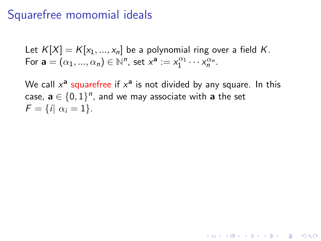### Squarefree momomial ideals

Let  $K[X] = K[x_1, ..., x_n]$  be a polynomial ring over a field K. For  $\mathbf{a} = (\alpha_1, ..., \alpha_n) \in \mathbb{N}^n$ , set  $x^{\mathbf{a}} := x_1^{\alpha_1} \cdots x_n^{\alpha_n}$ .

We call  $x^{\mathsf{a}}$  squarefree if  $x^{\mathsf{a}}$  is not divided by any square. In this case,  $\mathbf{a} \in \{0,1\}^n$ , and we may associate with  $\mathbf{a}$  the set  $F = \{i | \alpha_i = 1\}.$ 

**KORKAR KERKER EL VOLO**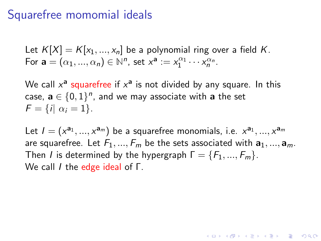### Squarefree momomial ideals

Let  $K[X] = K[x_1, ..., x_n]$  be a polynomial ring over a field K. For  $\mathbf{a} = (\alpha_1, ..., \alpha_n) \in \mathbb{N}^n$ , set  $x^{\mathbf{a}} := x_1^{\alpha_1} \cdots x_n^{\alpha_n}$ .

We call  $x^{\mathsf{a}}$  squarefree if  $x^{\mathsf{a}}$  is not divided by any square. In this case,  $\mathbf{a} \in \{0,1\}^n$ , and we may associate with  $\mathbf{a}$  the set  $F = \{i | \alpha_i = 1\}.$ 

Let  $I = (x^{a_1}, ..., x^{a_m})$  be a squarefree monomials, i.e.  $x^{a_1}, ..., x^{a_m}$ are squarefree. Let  $F_1, ..., F_m$  be the sets associated with  $a_1, ..., a_m$ . Then I is determined by the hypergraph  $\Gamma = \{F_1, ..., F_m\}$ . We call I the edge ideal of Γ.

**KORKAR KERKER EL VOLO**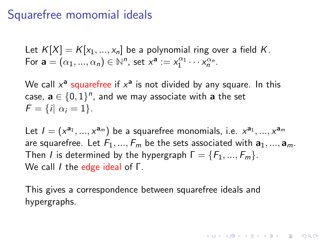## Squarefree momomial ideals

Let  $K[X] = K[x_1, ..., x_n]$  be a polynomial ring over a field K. For  $\mathbf{a} = (\alpha_1, ..., \alpha_n) \in \mathbb{N}^n$ , set  $x^{\mathbf{a}} := x_1^{\alpha_1} \cdots x_n^{\alpha_n}$ .

We call  $x^{\mathsf{a}}$  squarefree if  $x^{\mathsf{a}}$  is not divided by any square. In this case,  $\mathbf{a} \in \{0,1\}^n$ , and we may associate with  $\mathbf{a}$  the set  $F = \{i | \alpha_i = 1\}.$ 

Let  $I = (x^{a_1}, ..., x^{a_m})$  be a squarefree monomials, i.e.  $x^{a_1}, ..., x^{a_m}$ are squarefree. Let  $F_1, ..., F_m$  be the sets associated with  $a_1, ..., a_m$ . Then I is determined by the hypergraph  $\Gamma = \{F_1, ..., F_m\}$ . We call I the edge ideal of Γ.

4 D > 4 P + 4 B + 4 B + B + 9 Q O

This gives a correspondence between squarefree ideals and hypergraphs.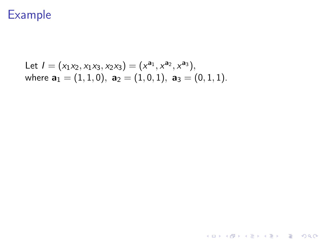Let 
$$
I = (x_1x_2, x_1x_3, x_2x_3) = (x^{a_1}, x^{a_2}, x^{a_3}),
$$
  
where  $a_1 = (1, 1, 0), a_2 = (1, 0, 1), a_3 = (0, 1, 1).$ 

K ロ K K (메 K K X B K X B H X B K O Q Q C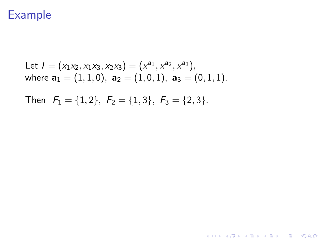Let 
$$
I = (x_1x_2, x_1x_3, x_2x_3) = (x^{a_1}, x^{a_2}, x^{a_3}),
$$
  
where  $a_1 = (1, 1, 0), a_2 = (1, 0, 1), a_3 = (0, 1, 1).$ 

K ロ X K 메 X K B X X B X X D X O Q Q O

Then  $F_1 = \{1, 2\}$ ,  $F_2 = \{1, 3\}$ ,  $F_3 = \{2, 3\}$ .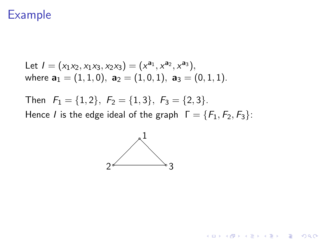Let 
$$
I = (x_1x_2, x_1x_3, x_2x_3) = (x^{a_1}, x^{a_2}, x^{a_3}),
$$
  
where  $\mathbf{a}_1 = (1, 1, 0), \ \mathbf{a}_2 = (1, 0, 1), \ \mathbf{a}_3 = (0, 1, 1).$ 

Then  $F_1 = \{1, 2\}$ ,  $F_2 = \{1, 3\}$ ,  $F_3 = \{2, 3\}$ . Hence *I* is the edge ideal of the graph  $\Gamma = \{F_1, F_2, F_3\}$ :



K ロ ▶ K @ ▶ K 할 > K 할 > 1 할 > 1 이익어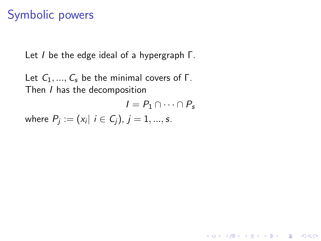# Symbolic powers

Let I be the edge ideal of a hypergraph Γ.

Let  $C_1, ..., C_s$  be the minimal covers of Γ. Then I has the decomposition

$$
I = P_1 \cap \cdots \cap P_s
$$

K ロ ▶ K @ ▶ K 할 > K 할 > 1 할 > 1 이익어

where  $P_j:=(\textit{x}_i\vert\, i\in \mathsf{C}_j),\,j=1,...,s.$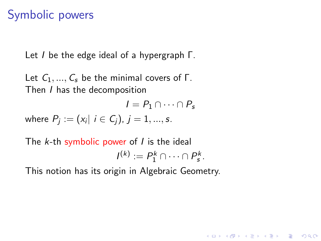# Symbolic powers

Let I be the edge ideal of a hypergraph Γ.

Let  $C_1, ..., C_s$  be the minimal covers of Γ. Then I has the decomposition

$$
I = P_1 \cap \cdots \cap P_s
$$

**KORKAR KERKER E VOOR** 

where  $P_j:=(\textit{x}_i\vert\, i\in \mathsf{C}_j),\,j=1,...,s.$ 

The  $k$ -th symbolic power of  $I$  is the ideal  $I^{(k)} := P_1^k \cap \cdots \cap P_s^k$ .

This notion has its origin in Algebraic Geometry.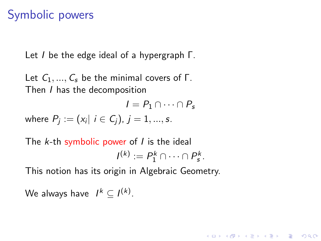# Symbolic powers

Let I be the edge ideal of a hypergraph Γ.

Let  $C_1, ..., C_s$  be the minimal covers of Γ. Then I has the decomposition

$$
I = P_1 \cap \cdots \cap P_s
$$

**KORKAR KERKER EL VOLO** 

where  $P_j:=(\textit{x}_i\vert\, i\in \mathsf{C}_j),\,j=1,...,s.$ 

The  $k$ -th symbolic power of  $I$  is the ideal  $I^{(k)} := P_1^k \cap \cdots \cap P_s^k$ .

This notion has its origin in Algebraic Geometry.

We always have  $I^k \subseteq I^{(k)}$ .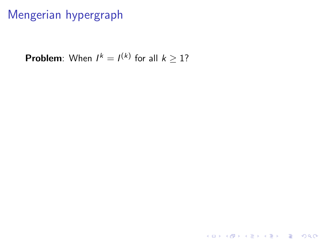## Mengerian hypergraph

**Problem**: When  $I^k = I^{(k)}$  for all  $k \geq 1$ ?

K ロ ▶ K @ ▶ K 할 ▶ K 할 ▶ | 할 | ⊙Q @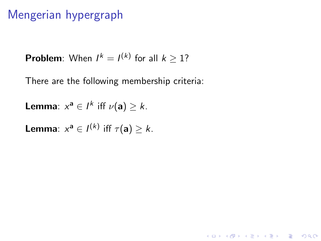## Mengerian hypergraph

**Problem**: When  $I^k = I^{(k)}$  for all  $k \geq 1$ ?

There are the following membership criteria:

**Lemma**:  $x^a \in I^k$  iff  $\nu(a) \geq k$ .

**Lemma**:  $x^a \in I^{(k)}$  iff  $\tau(a) \geq k$ .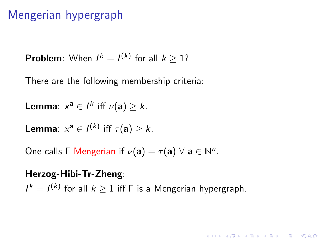### Mengerian hypergraph

**Problem**: When  $I^k = I^{(k)}$  for all  $k \geq 1$ ?

There are the following membership criteria:

**Lemma**:  $x^a \in I^k$  iff  $\nu(a) \geq k$ .

**Lemma**:  $x^a \in I^{(k)}$  iff  $\tau(a) \geq k$ .

One calls  $\Gamma$  Mengerian if  $\nu(\mathbf{a}) = \tau(\mathbf{a}) \ \forall \ \mathbf{a} \in \mathbb{N}^n$ .

Herzog-Hibi-Tr-Zheng:  $I^k = I^{(k)}$  for all  $k \geq 1$  iff  $\Gamma$  is a Mengerian hypergraph.

**KORKAR KERKER E VOOR**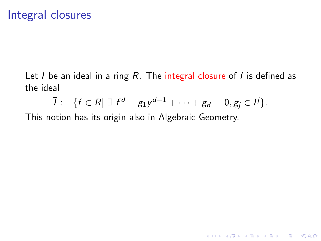Let  $I$  be an ideal in a ring  $R$ . The integral closure of  $I$  is defined as the ideal

$$
\bar{l} := \{f \in R \mid \exists f^d + g_1 y^{d-1} + \cdots + g_d = 0, g_j \in l^j\}.
$$

This notion has its origin also in Algebraic Geometry.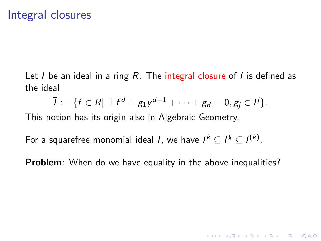Let I be an ideal in a ring R. The integral closure of I is defined as the ideal

$$
\bar{l} := \{f \in R \mid \exists f^d + g_1 y^{d-1} + \cdots + g_d = 0, g_j \in I^j\}.
$$

This notion has its origin also in Algebraic Geometry.

For a squarefree monomial ideal *I*, we have  $I^k \subseteq I^k \subseteq I^{(k)}$ .

**Problem**: When do we have equality in the above inequalities?

**K ロ ▶ K @ ▶ K 할 X X 할 X 및 할 X X Q Q O**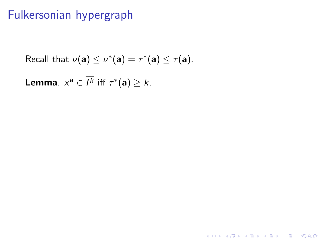## Fulkersonian hypergraph

Recall that 
$$
\nu(\mathbf{a}) \leq \nu^*(\mathbf{a}) = \tau^*(\mathbf{a}) \leq \tau(\mathbf{a})
$$
.

K ロ X K 메 X K B X X B X X D X O Q Q O

**Lemma**.  $x^a \in I^k$  iff  $\tau^*(a) \geq k$ .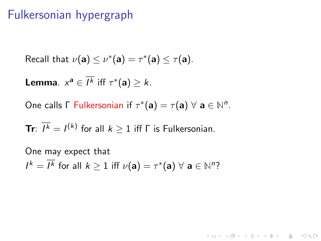### Fulkersonian hypergraph

Recall that 
$$
\nu(\mathbf{a}) \leq \nu^*(\mathbf{a}) = \tau^*(\mathbf{a}) \leq \tau(\mathbf{a})
$$
.

**Lemma**.  $x^a \in I^k$  iff  $\tau^*(a) \geq k$ .

One calls  $\Gamma$  Fulkersonian if  $\tau^*(\mathbf{a}) = \tau(\mathbf{a}) \ \forall \ \mathbf{a} \in \mathbb{N}^n$ .

**Tr**:  $\overline{I^k} = I^{(k)}$  for all  $k \geq 1$  iff  $\Gamma$  is Fulkersonian.

One may expect that  $I^k = \overline{I^k}$  for all  $k \ge 1$  iff  $\nu(\mathbf{a}) = \tau^*(\mathbf{a}) \ \forall \ \mathbf{a} \in \mathbb{N}^n$ ?

**K ロ ▶ K @ ▶ K 할 X X 할 X 및 할 X X Q Q O**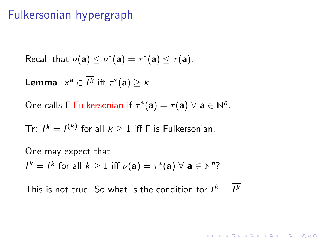### Fulkersonian hypergraph

Recall that 
$$
\nu(\mathbf{a}) \leq \nu^*(\mathbf{a}) = \tau^*(\mathbf{a}) \leq \tau(\mathbf{a})
$$
.

**Lemma**.  $x^a \in I^k$  iff  $\tau^*(a) \geq k$ .

One calls  $\Gamma$  Fulkersonian if  $\tau^*(\mathbf{a}) = \tau(\mathbf{a}) \ \forall \ \mathbf{a} \in \mathbb{N}^n$ .

**Tr**:  $\overline{I^k} = I^{(k)}$  for all  $k \geq 1$  iff  $\Gamma$  is Fulkersonian.

One may expect that  $I^k = \overline{I^k}$  for all  $k \ge 1$  iff  $\nu(\mathbf{a}) = \tau^*(\mathbf{a}) \ \forall \ \mathbf{a} \in \mathbb{N}^n$ ?

This is not true. So what is the condition for  $I^k = \overline{I^k}$ .

**KORKAR KERKER E VOOR**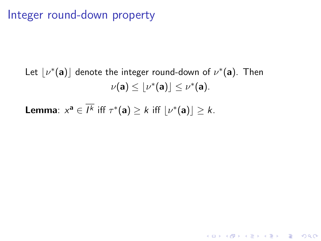### Integer round-down property

Let  $\lfloor \nu^*(\mathbf{a}) \rfloor$  denote the integer round-down of  $\nu^*(\mathbf{a})$ . Then  $\nu(\mathbf{a}) \leq \lfloor \nu^*(\mathbf{a}) \rfloor \leq \nu^*(\mathbf{a}).$ 

**K ロ ▶ K @ ▶ K 할 X X 할 X 및 할 X X Q Q O** 

**Lemma**:  $x^a \in \overline{I^k}$  iff  $\tau^*(a) \geq k$  iff  $\lfloor \nu^*(a) \rfloor \geq k$ .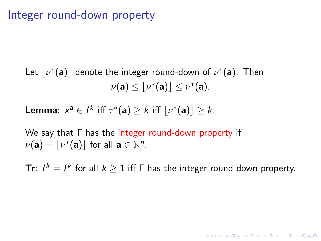### Integer round-down property

Let  $\lfloor \nu^*(\mathbf{a}) \rfloor$  denote the integer round-down of  $\nu^*(\mathbf{a})$ . Then  $\nu(\mathbf{a}) \leq \lfloor \nu^*(\mathbf{a}) \rfloor \leq \nu^*(\mathbf{a}).$ 

**Lemma**:  $x^a \in \overline{I^k}$  iff  $\tau^*(a) \geq k$  iff  $\lfloor \nu^*(a) \rfloor \geq k$ .

We say that Γ has the integer round-down property if  $\nu(\mathbf{a}) = \lfloor \nu^*(\mathbf{a}) \rfloor$  for all  $\mathbf{a} \in \mathbb{N}^n$ .

**Tr**:  $I^k = \overline{I^k}$  for all  $k \ge 1$  iff  $\Gamma$  has the integer round-down property.

**KORKAR KERKER EL VOLO**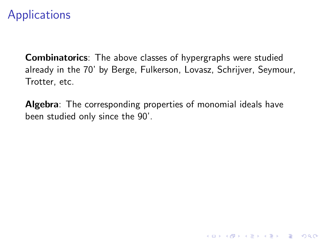# **Applications**

**Combinatorics**: The above classes of hypergraphs were studied already in the 70' by Berge, Fulkerson, Lovasz, Schrijver, Seymour, Trotter, etc.

Algebra: The corresponding properties of monomial ideals have been studied only since the 90'.

**KORK STRATER STRAKER**